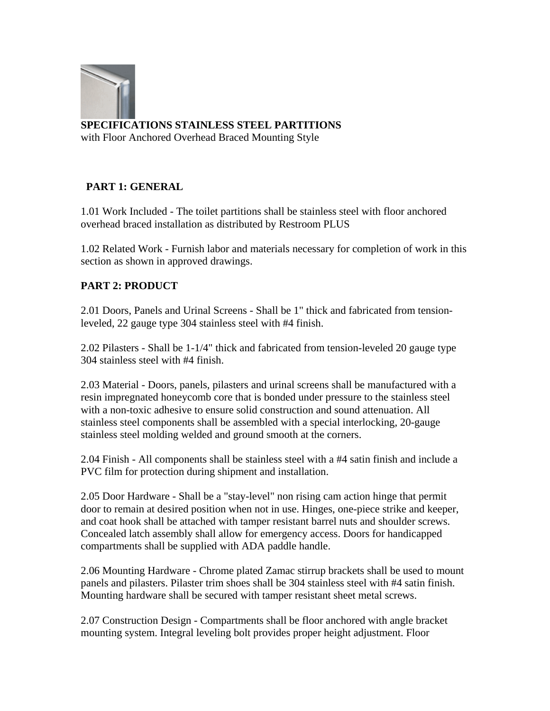

**SPECIFICATIONS STAINLESS STEEL PARTITIONS**

with Floor Anchored Overhead Braced Mounting Style

## **PART 1: GENERAL**

1.01 Work Included - The toilet partitions shall be stainless steel with floor anchored overhead braced installation as distributed by Restroom PLUS

1.02 Related Work - Furnish labor and materials necessary for completion of work in this section as shown in approved drawings.

## **PART 2: PRODUCT**

2.01 Doors, Panels and Urinal Screens - Shall be 1" thick and fabricated from tensionleveled, 22 gauge type 304 stainless steel with #4 finish.

2.02 Pilasters - Shall be 1-1/4" thick and fabricated from tension-leveled 20 gauge type 304 stainless steel with #4 finish.

2.03 Material - Doors, panels, pilasters and urinal screens shall be manufactured with a resin impregnated honeycomb core that is bonded under pressure to the stainless steel with a non-toxic adhesive to ensure solid construction and sound attenuation. All stainless steel components shall be assembled with a special interlocking, 20-gauge stainless steel molding welded and ground smooth at the corners.

2.04 Finish - All components shall be stainless steel with a #4 satin finish and include a PVC film for protection during shipment and installation.

2.05 Door Hardware - Shall be a "stay-level" non rising cam action hinge that permit door to remain at desired position when not in use. Hinges, one-piece strike and keeper, and coat hook shall be attached with tamper resistant barrel nuts and shoulder screws. Concealed latch assembly shall allow for emergency access. Doors for handicapped compartments shall be supplied with ADA paddle handle.

2.06 Mounting Hardware - Chrome plated Zamac stirrup brackets shall be used to mount panels and pilasters. Pilaster trim shoes shall be 304 stainless steel with #4 satin finish. Mounting hardware shall be secured with tamper resistant sheet metal screws.

2.07 Construction Design - Compartments shall be floor anchored with angle bracket mounting system. Integral leveling bolt provides proper height adjustment. Floor